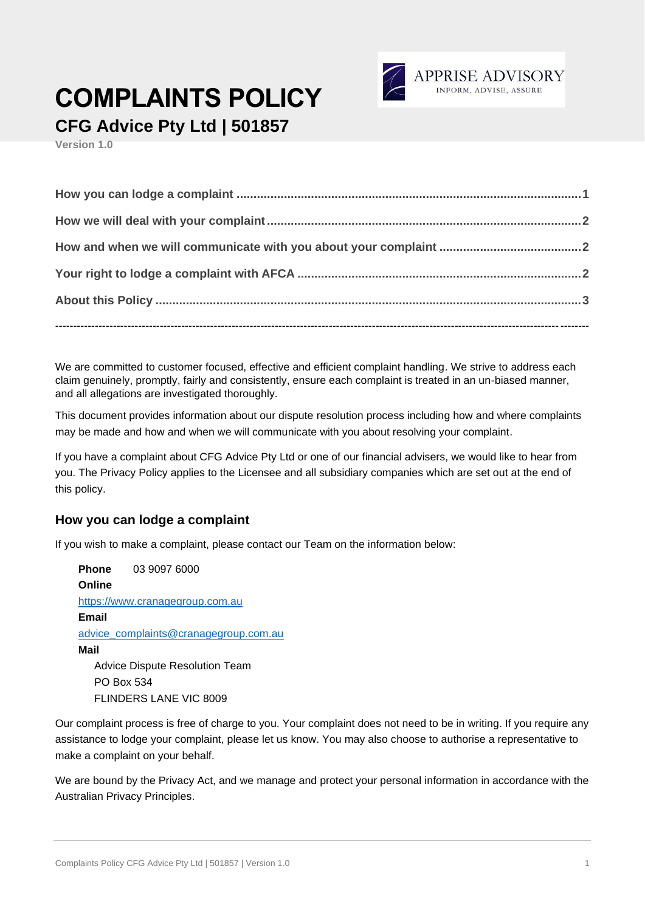

# **COMPLAINTS POLICY**

**CFG Advice Pty Ltd | 501857**

**Version 1.0**

We are committed to customer focused, effective and efficient complaint handling. We strive to address each claim genuinely, promptly, fairly and consistently, ensure each complaint is treated in an un-biased manner, and all allegations are investigated thoroughly.

This document provides information about our dispute resolution process including how and where complaints may be made and how and when we will communicate with you about resolving your complaint.

If you have a complaint about CFG Advice Pty Ltd or one of our financial advisers, we would like to hear from you. The Privacy Policy applies to the Licensee and all subsidiary companies which are set out at the end of this policy.

### **How you can lodge a complaint**

If you wish to make a complaint, please contact our Team on the information below:

**Phone** 03 9097 6000 **Online** [https://www.cranagegroup.com.au](https://www.cranagegroup.com.au/) **Email** [advice\\_complaints@cranagegroup.com.au](mailto:advice_complaints@cranagegroup.com.au) **Mail** Advice Dispute Resolution Team PO Box 534 FLINDERS LANE VIC 8009

Our complaint process is free of charge to you. Your complaint does not need to be in writing. If you require any assistance to lodge your complaint, please let us know. You may also choose to authorise a representative to make a complaint on your behalf.

We are bound by the Privacy Act, and we manage and protect your personal information in accordance with the Australian Privacy Principles.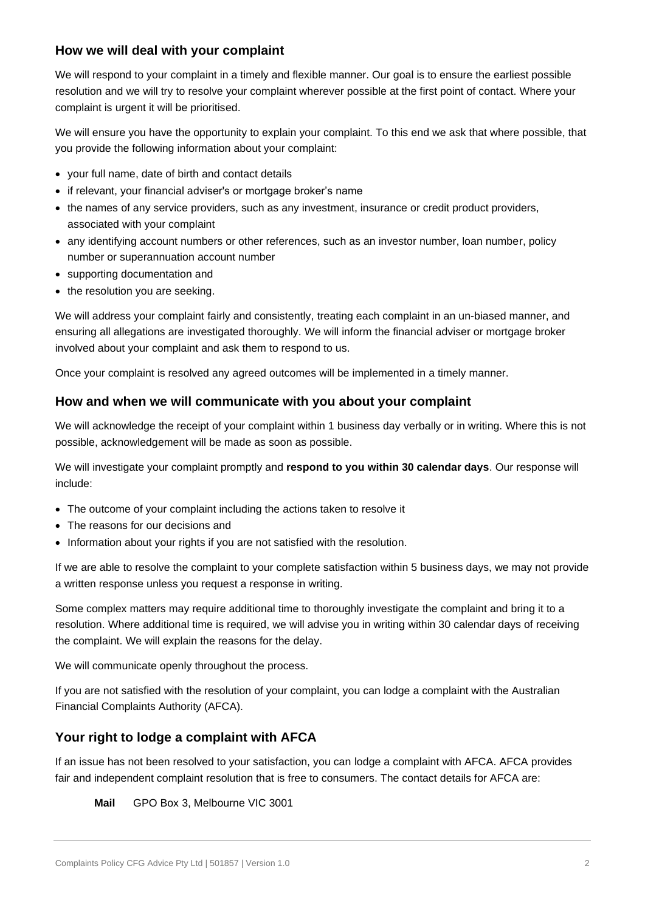## **How we will deal with your complaint**

We will respond to your complaint in a timely and flexible manner. Our goal is to ensure the earliest possible resolution and we will try to resolve your complaint wherever possible at the first point of contact. Where your complaint is urgent it will be prioritised.

We will ensure you have the opportunity to explain your complaint. To this end we ask that where possible, that you provide the following information about your complaint:

- your full name, date of birth and contact details
- if relevant, your financial adviser's or mortgage broker's name
- the names of any service providers, such as any investment, insurance or credit product providers, associated with your complaint
- any identifying account numbers or other references, such as an investor number, loan number, policy number or superannuation account number
- supporting documentation and
- the resolution you are seeking.

We will address your complaint fairly and consistently, treating each complaint in an un-biased manner, and ensuring all allegations are investigated thoroughly. We will inform the financial adviser or mortgage broker involved about your complaint and ask them to respond to us.

Once your complaint is resolved any agreed outcomes will be implemented in a timely manner.

### **How and when we will communicate with you about your complaint**

We will acknowledge the receipt of your complaint within 1 business day verbally or in writing. Where this is not possible, acknowledgement will be made as soon as possible.

We will investigate your complaint promptly and **respond to you within 30 calendar days**. Our response will include:

- The outcome of your complaint including the actions taken to resolve it
- The reasons for our decisions and
- Information about your rights if you are not satisfied with the resolution.

If we are able to resolve the complaint to your complete satisfaction within 5 business days, we may not provide a written response unless you request a response in writing.

Some complex matters may require additional time to thoroughly investigate the complaint and bring it to a resolution. Where additional time is required, we will advise you in writing within 30 calendar days of receiving the complaint. We will explain the reasons for the delay.

We will communicate openly throughout the process.

If you are not satisfied with the resolution of your complaint, you can lodge a complaint with the Australian Financial Complaints Authority (AFCA).

### **Your right to lodge a complaint with AFCA**

If an issue has not been resolved to your satisfaction, you can lodge a complaint with AFCA. AFCA provides fair and independent complaint resolution that is free to consumers. The contact details for AFCA are:

#### **Mail** GPO Box 3, Melbourne VIC 3001